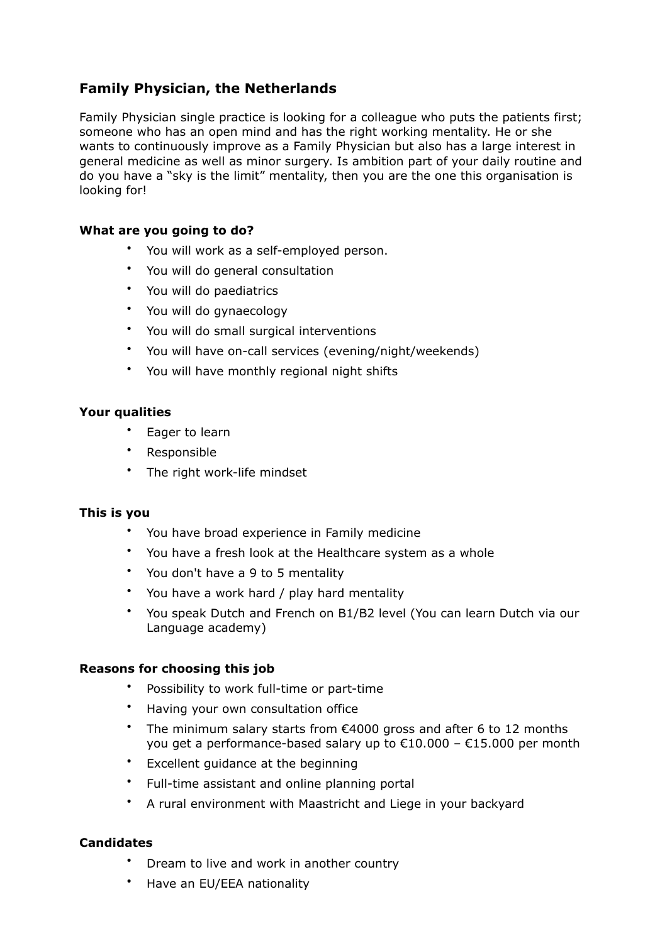# **Family Physician, the Netherlands**

Family Physician single practice is looking for a colleague who puts the patients first; someone who has an open mind and has the right working mentality. He or she wants to continuously improve as a Family Physician but also has a large interest in general medicine as well as minor surgery. Is ambition part of your daily routine and do you have a "sky is the limit" mentality, then you are the one this organisation is looking for!

## **What are you going to do?**

- You will work as a self-employed person.
- You will do general consultation
- You will do paediatrics
- You will do gynaecology
- You will do small surgical interventions
- You will have on-call services (evening/night/weekends)
- You will have monthly regional night shifts

## **Your qualities**

- Eager to learn
- Responsible
- The right work-life mindset

#### **This is you**

- You have broad experience in Family medicine
- You have a fresh look at the Healthcare system as a whole
- You don't have a 9 to 5 mentality
- You have a work hard / play hard mentality
- You speak Dutch and French on B1/B2 level (You can learn Dutch via our Language academy)

## **Reasons for choosing this job**

- Possibility to work full-time or part-time
- Having your own consultation office
- The minimum salary starts from  $\epsilon$ 4000 gross and after 6 to 12 months you get a performance-based salary up to €10,000 – €15,000 per month
- Excellent guidance at the beginning
- Full-time assistant and online planning portal
- A rural environment with Maastricht and Liege in your backyard

## **Candidates**

- Dream to live and work in another country
- Have an EU/EEA nationality